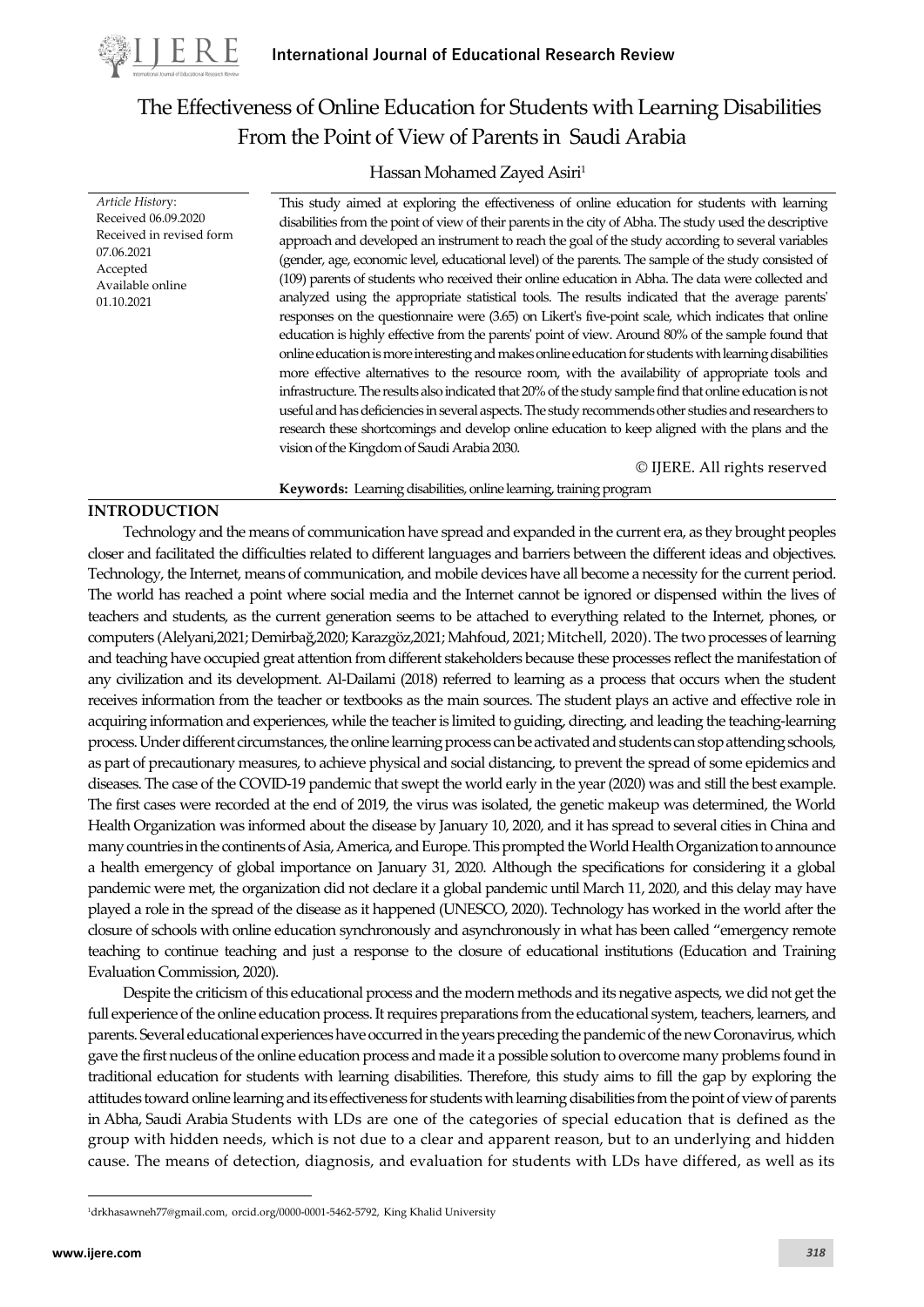

*Article Histor*y: Received 06.09.2020 Received in revised form

07.06.2021 Accepted Available online 01.10.2021

# The Effectiveness of Online Education for Students with Learning Disabilities From the Point of View of Parents in Saudi Arabia

# Hassan Mohamed Zayed Asiri<sup>1</sup>

This study aimed at exploring the effectiveness of online education for students with learning disabilities from the point of view of their parents in the city of Abha. The study used the descriptive approach and developed an instrument to reach the goal of the study according to several variables (gender, age, economic level, educational level) of the parents. The sample of the study consisted of (109) parents of students who received their online education in Abha. The data were collected and analyzed using the appropriate statistical tools. The results indicated that the average parents' responses on the questionnaire were (3.65) on Likert's five-point scale, which indicates that online education is highly effective from the parents' point of view. Around 80% of the sample found that online education is more interesting and makes online education for students with learning disabilities more effective alternatives to the resource room, with the availability of appropriate tools and infrastructure. The results also indicated that 20% of the study sample find that online education is not useful and has deficiencies in several aspects. The study recommends other studies and researchers to research these shortcomings and develop online education to keep aligned with the plans and the vision of the Kingdom of Saudi Arabia 2030.

© IJERE. All rights reserved

#### **INTRODUCTION**

Technology and the means of communication have spread and expanded in the current era, as they brought peoples closer and facilitated the difficulties related to different languages and barriers between the different ideas and objectives. Technology, the Internet, means of communication, and mobile devices have all become a necessity for the current period. The world has reached a point where social media and the Internet cannot be ignored or dispensed within the lives of teachers and students, as the current generation seems to be attached to everything related to the Internet, phones, or computers (Alelyani,2021; Demirbağ,2020; Karazgöz,2021; Mahfoud, 2021; Mitchell, 2020). The two processes of learning and teaching have occupied great attention from different stakeholders because these processes reflect the manifestation of any civilization and its development. Al-Dailami (2018) referred to learning as a process that occurs when the student receives information from the teacher or textbooks as the main sources. The student plays an active and effective role in acquiring information and experiences, while the teacher is limited to guiding, directing, and leading the teaching-learning process.Under different circumstances, the online learning process can be activated and students can stop attending schools, as part of precautionary measures, to achieve physical and social distancing, to prevent the spread of some epidemics and diseases. The case of the COVID-19 pandemic that swept the world early in the year (2020) was and still the best example. The first cases were recorded at the end of 2019, the virus was isolated, the genetic makeup was determined, the World Health Organization was informed about the disease by January 10, 2020, and it has spread to several cities in China and many countries in the continents of Asia, America, and Europe. This prompted the World Health Organization to announce a health emergency of global importance on January 31, 2020. Although the specifications for considering it a global pandemic were met, the organization did not declare it a global pandemic until March 11, 2020, and this delay may have played a role in the spread of the disease as it happened (UNESCO, 2020). Technology has worked in the world after the closure of schools with online education synchronously and asynchronously in what has been called "emergency remote teaching to continue teaching and just a response to the closure of educational institutions (Education and Training Evaluation Commission, 2020).

**Keywords:** Learning disabilities, online learning, training program

Despite the criticism of this educational process and the modern methods and its negative aspects, we did not get the full experience of the online education process. It requires preparations from the educational system, teachers, learners, and parents. Several educational experiences have occurred in the years preceding the pandemic of the new Coronavirus, which gave the first nucleus of the online education process and made it a possible solution to overcome many problems found in traditional education for students with learning disabilities. Therefore, this study aims to fill the gap by exploring the attitudes toward online learning and its effectiveness for students with learning disabilities from the point of view of parents in Abha, Saudi Arabia Students with LDs are one of the categories of special education that is defined as the group with hidden needs, which is not due to a clear and apparent reason, but to an underlying and hidden cause. The means of detection, diagnosis, and evaluation for students with LDs have differed, as well as its

<sup>1</sup>[drkhasawneh77@gmail.com,](mailto:drkhasawneh77@gmail.com) orcid.org/0000-0001-5462-5792, King Khalid University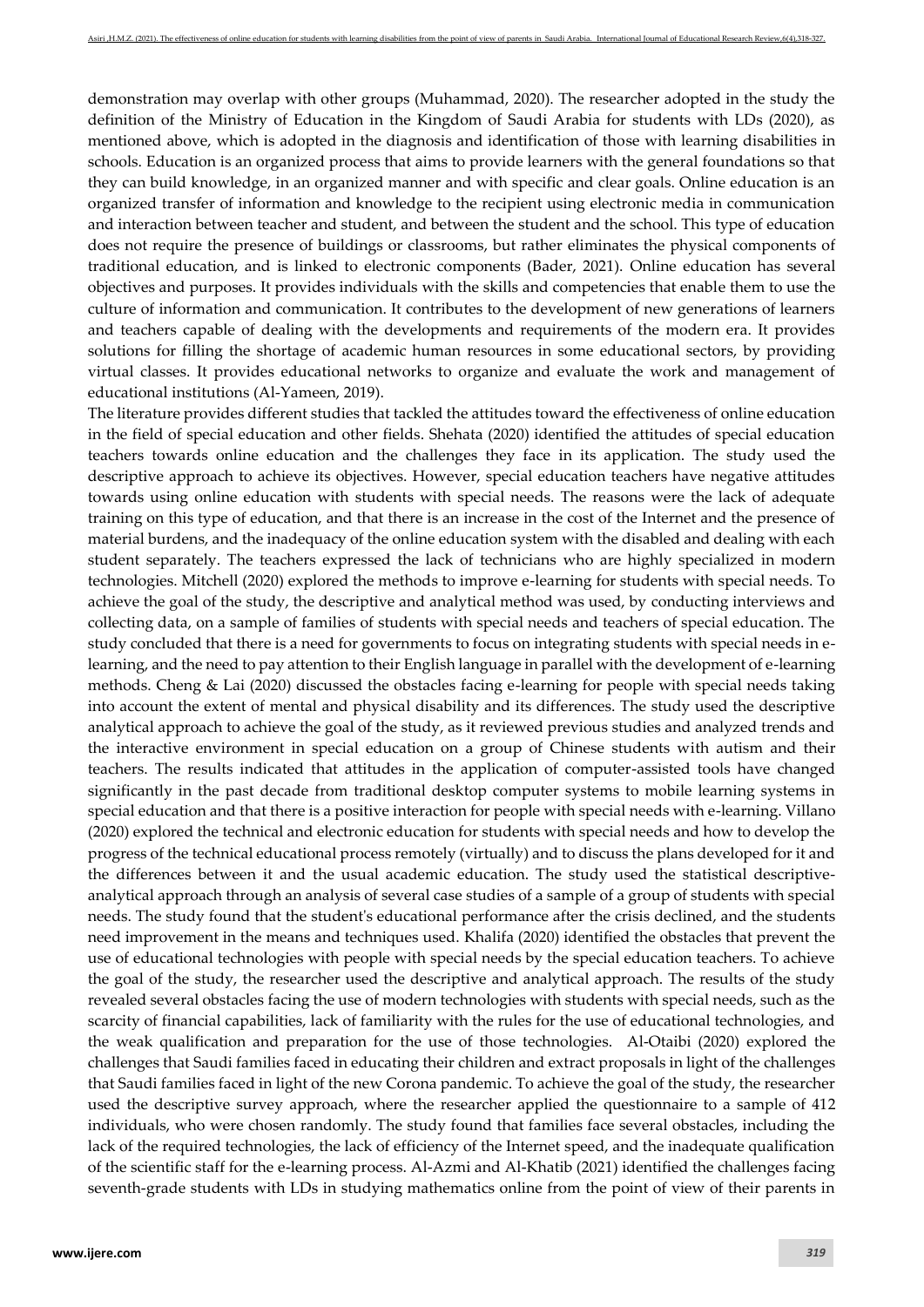demonstration may overlap with other groups (Muhammad, 2020). The researcher adopted in the study the definition of the Ministry of Education in the Kingdom of Saudi Arabia for students with LDs (2020), as mentioned above, which is adopted in the diagnosis and identification of those with learning disabilities in schools. Education is an organized process that aims to provide learners with the general foundations so that they can build knowledge, in an organized manner and with specific and clear goals. Online education is an organized transfer of information and knowledge to the recipient using electronic media in communication and interaction between teacher and student, and between the student and the school. This type of education does not require the presence of buildings or classrooms, but rather eliminates the physical components of traditional education, and is linked to electronic components (Bader, 2021). Online education has several objectives and purposes. It provides individuals with the skills and competencies that enable them to use the culture of information and communication. It contributes to the development of new generations of learners and teachers capable of dealing with the developments and requirements of the modern era. It provides solutions for filling the shortage of academic human resources in some educational sectors, by providing virtual classes. It provides educational networks to organize and evaluate the work and management of educational institutions (Al-Yameen, 2019).

The literature provides different studies that tackled the attitudes toward the effectiveness of online education in the field of special education and other fields. Shehata (2020) identified the attitudes of special education teachers towards online education and the challenges they face in its application. The study used the descriptive approach to achieve its objectives. However, special education teachers have negative attitudes towards using online education with students with special needs. The reasons were the lack of adequate training on this type of education, and that there is an increase in the cost of the Internet and the presence of material burdens, and the inadequacy of the online education system with the disabled and dealing with each student separately. The teachers expressed the lack of technicians who are highly specialized in modern technologies. Mitchell (2020) explored the methods to improve e-learning for students with special needs. To achieve the goal of the study, the descriptive and analytical method was used, by conducting interviews and collecting data, on a sample of families of students with special needs and teachers of special education. The study concluded that there is a need for governments to focus on integrating students with special needs in elearning, and the need to pay attention to their English language in parallel with the development of e-learning methods. Cheng & Lai (2020) discussed the obstacles facing e-learning for people with special needs taking into account the extent of mental and physical disability and its differences. The study used the descriptive analytical approach to achieve the goal of the study, as it reviewed previous studies and analyzed trends and the interactive environment in special education on a group of Chinese students with autism and their teachers. The results indicated that attitudes in the application of computer-assisted tools have changed significantly in the past decade from traditional desktop computer systems to mobile learning systems in special education and that there is a positive interaction for people with special needs with e-learning. Villano (2020) explored the technical and electronic education for students with special needs and how to develop the progress of the technical educational process remotely (virtually) and to discuss the plans developed for it and the differences between it and the usual academic education. The study used the statistical descriptiveanalytical approach through an analysis of several case studies of a sample of a group of students with special needs. The study found that the student's educational performance after the crisis declined, and the students need improvement in the means and techniques used. Khalifa (2020) identified the obstacles that prevent the use of educational technologies with people with special needs by the special education teachers. To achieve the goal of the study, the researcher used the descriptive and analytical approach. The results of the study revealed several obstacles facing the use of modern technologies with students with special needs, such as the scarcity of financial capabilities, lack of familiarity with the rules for the use of educational technologies, and the weak qualification and preparation for the use of those technologies. Al-Otaibi (2020) explored the challenges that Saudi families faced in educating their children and extract proposals in light of the challenges that Saudi families faced in light of the new Corona pandemic. To achieve the goal of the study, the researcher used the descriptive survey approach, where the researcher applied the questionnaire to a sample of 412 individuals, who were chosen randomly. The study found that families face several obstacles, including the lack of the required technologies, the lack of efficiency of the Internet speed, and the inadequate qualification of the scientific staff for the e-learning process. Al-Azmi and Al-Khatib (2021) identified the challenges facing seventh-grade students with LDs in studying mathematics online from the point of view of their parents in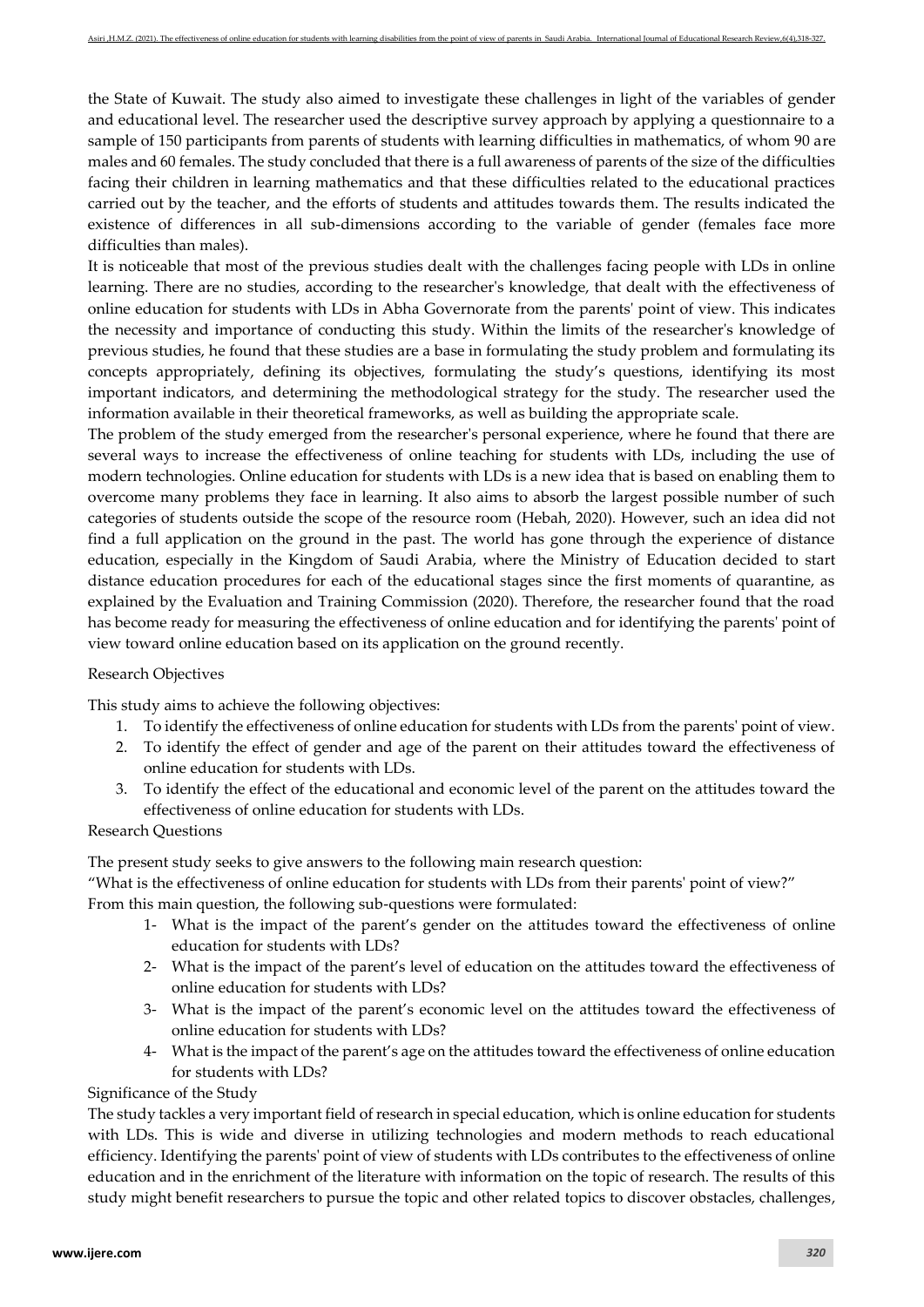the State of Kuwait. The study also aimed to investigate these challenges in light of the variables of gender and educational level. The researcher used the descriptive survey approach by applying a questionnaire to a sample of 150 participants from parents of students with learning difficulties in mathematics, of whom 90 are males and 60 females. The study concluded that there is a full awareness of parents of the size of the difficulties facing their children in learning mathematics and that these difficulties related to the educational practices carried out by the teacher, and the efforts of students and attitudes towards them. The results indicated the existence of differences in all sub-dimensions according to the variable of gender (females face more difficulties than males).

It is noticeable that most of the previous studies dealt with the challenges facing people with LDs in online learning. There are no studies, according to the researcher's knowledge, that dealt with the effectiveness of online education for students with LDs in Abha Governorate from the parents' point of view. This indicates the necessity and importance of conducting this study. Within the limits of the researcher's knowledge of previous studies, he found that these studies are a base in formulating the study problem and formulating its concepts appropriately, defining its objectives, formulating the study's questions, identifying its most important indicators, and determining the methodological strategy for the study. The researcher used the information available in their theoretical frameworks, as well as building the appropriate scale.

The problem of the study emerged from the researcher's personal experience, where he found that there are several ways to increase the effectiveness of online teaching for students with LDs, including the use of modern technologies. Online education for students with LDs is a new idea that is based on enabling them to overcome many problems they face in learning. It also aims to absorb the largest possible number of such categories of students outside the scope of the resource room (Hebah, 2020). However, such an idea did not find a full application on the ground in the past. The world has gone through the experience of distance education, especially in the Kingdom of Saudi Arabia, where the Ministry of Education decided to start distance education procedures for each of the educational stages since the first moments of quarantine, as explained by the Evaluation and Training Commission (2020). Therefore, the researcher found that the road has become ready for measuring the effectiveness of online education and for identifying the parents' point of view toward online education based on its application on the ground recently.

#### Research Objectives

This study aims to achieve the following objectives:

- 1. To identify the effectiveness of online education for students with LDs from the parents' point of view.
- 2. To identify the effect of gender and age of the parent on their attitudes toward the effectiveness of online education for students with LDs.
- 3. To identify the effect of the educational and economic level of the parent on the attitudes toward the effectiveness of online education for students with LDs.

## Research Questions

The present study seeks to give answers to the following main research question:

"What is the effectiveness of online education for students with LDs from their parents' point of view?" From this main question, the following sub-questions were formulated:

- 1- What is the impact of the parent's gender on the attitudes toward the effectiveness of online education for students with LDs?
- 2- What is the impact of the parent's level of education on the attitudes toward the effectiveness of online education for students with LDs?
- 3- What is the impact of the parent's economic level on the attitudes toward the effectiveness of online education for students with LDs?
- 4- What is the impact of the parent's age on the attitudes toward the effectiveness of online education for students with LDs?

#### Significance of the Study

The study tackles a very important field of research in special education, which is online education for students with LDs. This is wide and diverse in utilizing technologies and modern methods to reach educational efficiency. Identifying the parents' point of view of students with LDs contributes to the effectiveness of online education and in the enrichment of the literature with information on the topic of research. The results of this study might benefit researchers to pursue the topic and other related topics to discover obstacles, challenges,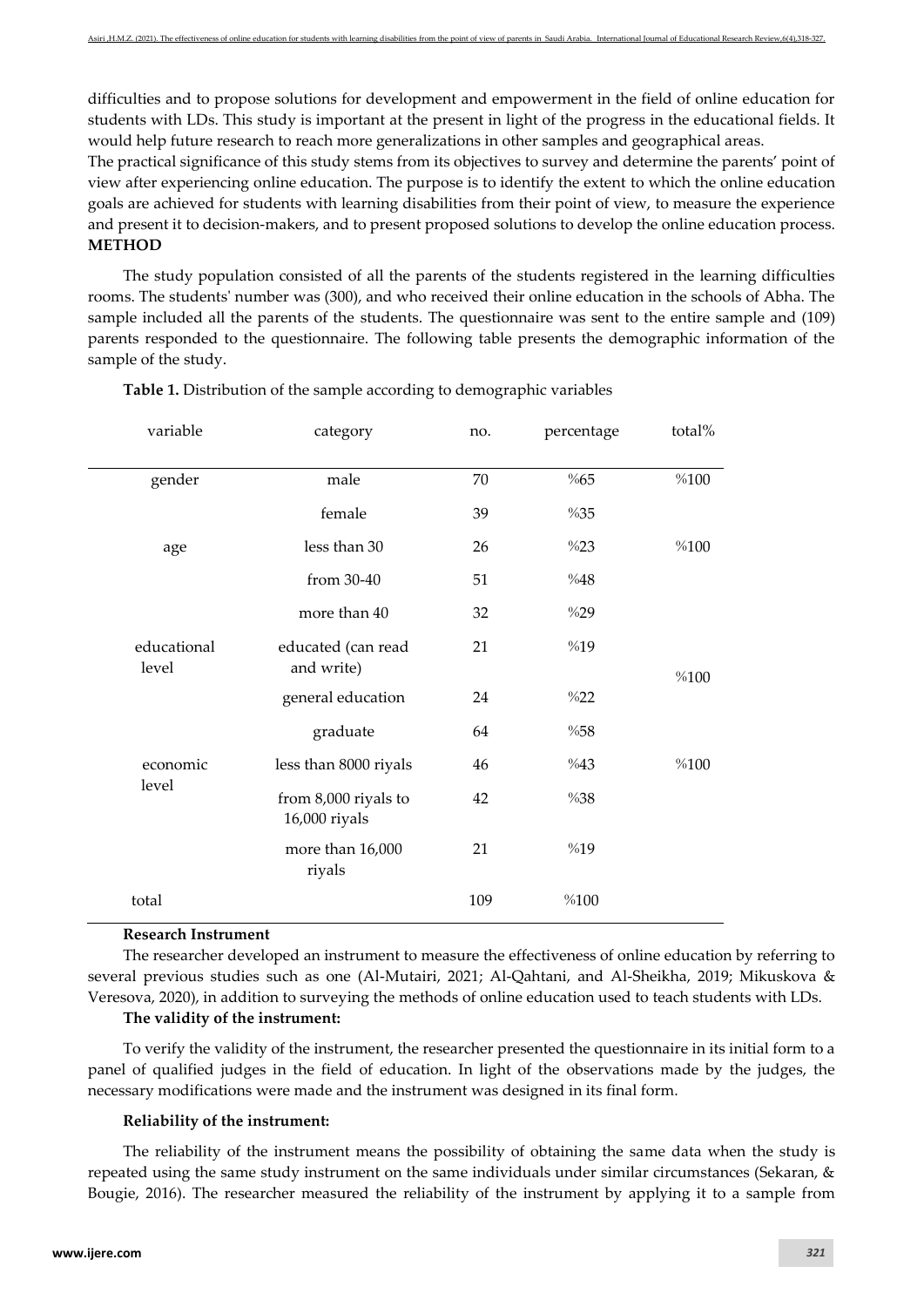difficulties and to propose solutions for development and empowerment in the field of online education for students with LDs. This study is important at the present in light of the progress in the educational fields. It would help future research to reach more generalizations in other samples and geographical areas.

The practical significance of this study stems from its objectives to survey and determine the parents' point of view after experiencing online education. The purpose is to identify the extent to which the online education goals are achieved for students with learning disabilities from their point of view, to measure the experience and present it to decision-makers, and to present proposed solutions to develop the online education process. **METHOD**

The study population consisted of all the parents of the students registered in the learning difficulties rooms. The students' number was (300), and who received their online education in the schools of Abha. The sample included all the parents of the students. The questionnaire was sent to the entire sample and (109) parents responded to the questionnaire. The following table presents the demographic information of the sample of the study.

| variable             | category                              | no. | percentage | total% |
|----------------------|---------------------------------------|-----|------------|--------|
| gender               | male                                  | 70  | %65        | %100   |
|                      | female                                | 39  | %35        |        |
| age                  | less than 30                          | 26  | %23        | %100   |
|                      | from 30-40                            | 51  | %48        |        |
|                      | more than 40                          | 32  | %29        |        |
| educational<br>level | educated (can read<br>and write)      | 21  | %19        | %100   |
|                      | general education                     | 24  | %22        |        |
|                      | graduate                              | 64  | %58        |        |
| economic             | less than 8000 riyals                 | 46  | %43        | %100   |
| level                | from 8,000 riyals to<br>16,000 riyals | 42  | %38        |        |
|                      | more than 16,000<br>riyals            | 21  | %19        |        |
| total                |                                       | 109 | %100       |        |

**Table 1.** Distribution of the sample according to demographic variables

#### **Research Instrument**

The researcher developed an instrument to measure the effectiveness of online education by referring to several previous studies such as one (Al-Mutairi, 2021; Al-Qahtani, and Al-Sheikha, 2019; Mikuskova & Veresova, 2020), in addition to surveying the methods of online education used to teach students with LDs.

#### **The validity of the instrument:**

To verify the validity of the instrument, the researcher presented the questionnaire in its initial form to a panel of qualified judges in the field of education. In light of the observations made by the judges, the necessary modifications were made and the instrument was designed in its final form.

#### **Reliability of the instrument:**

The reliability of the instrument means the possibility of obtaining the same data when the study is repeated using the same study instrument on the same individuals under similar circumstances (Sekaran, & Bougie, 2016). The researcher measured the reliability of the instrument by applying it to a sample from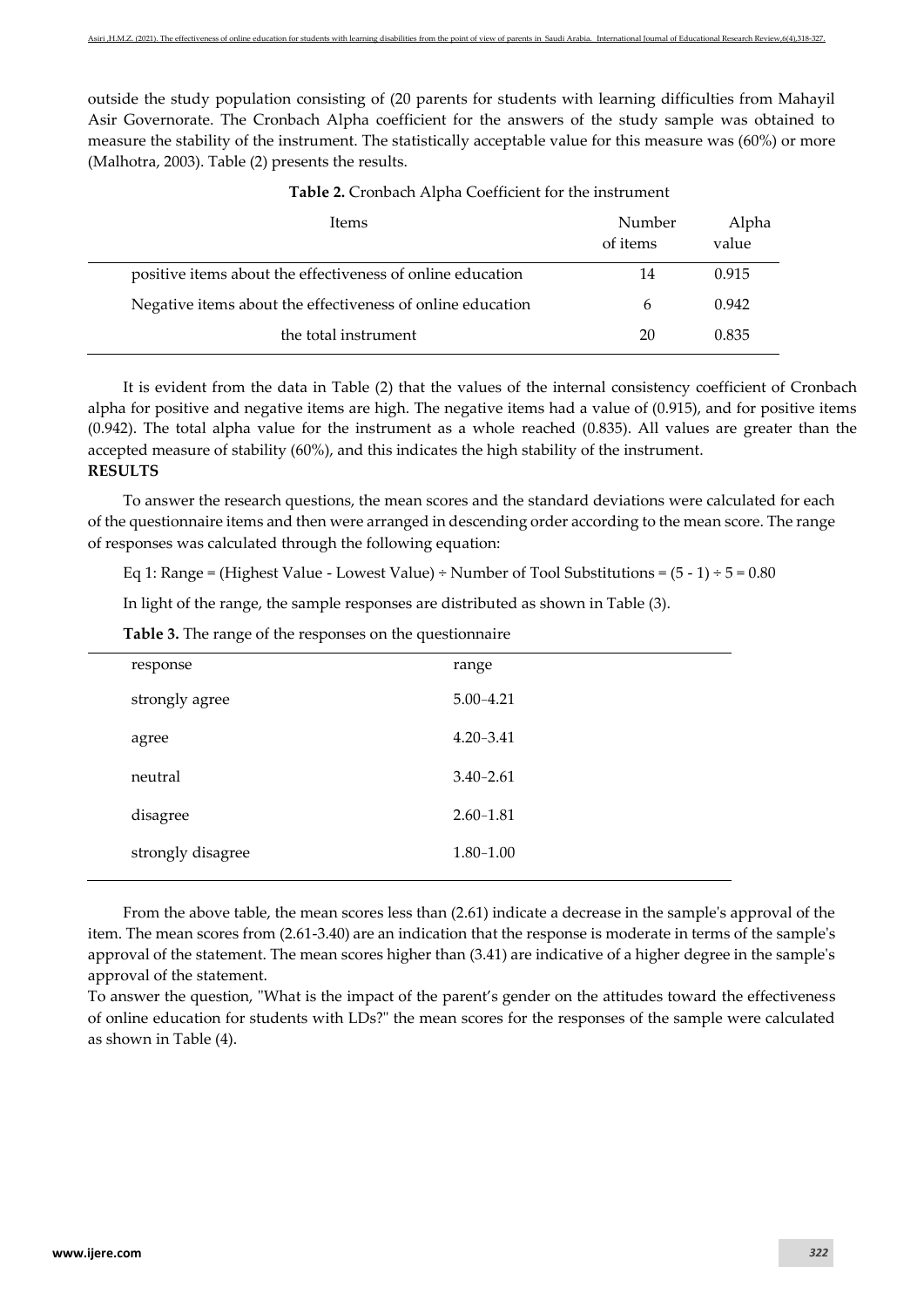outside the study population consisting of (20 parents for students with learning difficulties from Mahayil Asir Governorate. The Cronbach Alpha coefficient for the answers of the study sample was obtained to measure the stability of the instrument. The statistically acceptable value for this measure was (60%) or more (Malhotra, 2003). Table (2) presents the results.

| Items                                                      | Number<br>of items | Alpha<br>value |
|------------------------------------------------------------|--------------------|----------------|
| positive items about the effectiveness of online education | 14                 | 0.915          |
| Negative items about the effectiveness of online education | h                  | 0.942          |
| the total instrument                                       | 20                 | 0.835          |

**Table 2.** Cronbach Alpha Coefficient for the instrument

It is evident from the data in Table (2) that the values of the internal consistency coefficient of Cronbach alpha for positive and negative items are high. The negative items had a value of (0.915), and for positive items (0.942). The total alpha value for the instrument as a whole reached (0.835). All values are greater than the accepted measure of stability (60%), and this indicates the high stability of the instrument. **RESULTS** 

To answer the research questions, the mean scores and the standard deviations were calculated for each of the questionnaire items and then were arranged in descending order according to the mean score. The range of responses was calculated through the following equation:

Eq 1: Range = (Highest Value - Lowest Value) ÷ Number of Tool Substitutions =  $(5 - 1) \div 5 = 0.80$ 

In light of the range, the sample responses are distributed as shown in Table (3).

**Table 3.** The range of the responses on the questionnaire

| response          | range         |
|-------------------|---------------|
| strongly agree    | $5.00 - 4.21$ |
| agree             | $4.20 - 3.41$ |
| neutral           | $3.40 - 2.61$ |
| disagree          | $2.60 - 1.81$ |
| strongly disagree | $1.80 - 1.00$ |
|                   |               |

From the above table, the mean scores less than (2.61) indicate a decrease in the sample's approval of the item. The mean scores from (2.61-3.40) are an indication that the response is moderate in terms of the sample's approval of the statement. The mean scores higher than (3.41) are indicative of a higher degree in the sample's approval of the statement.

To answer the question, "What is the impact of the parent's gender on the attitudes toward the effectiveness of online education for students with LDs?" the mean scores for the responses of the sample were calculated as shown in Table (4).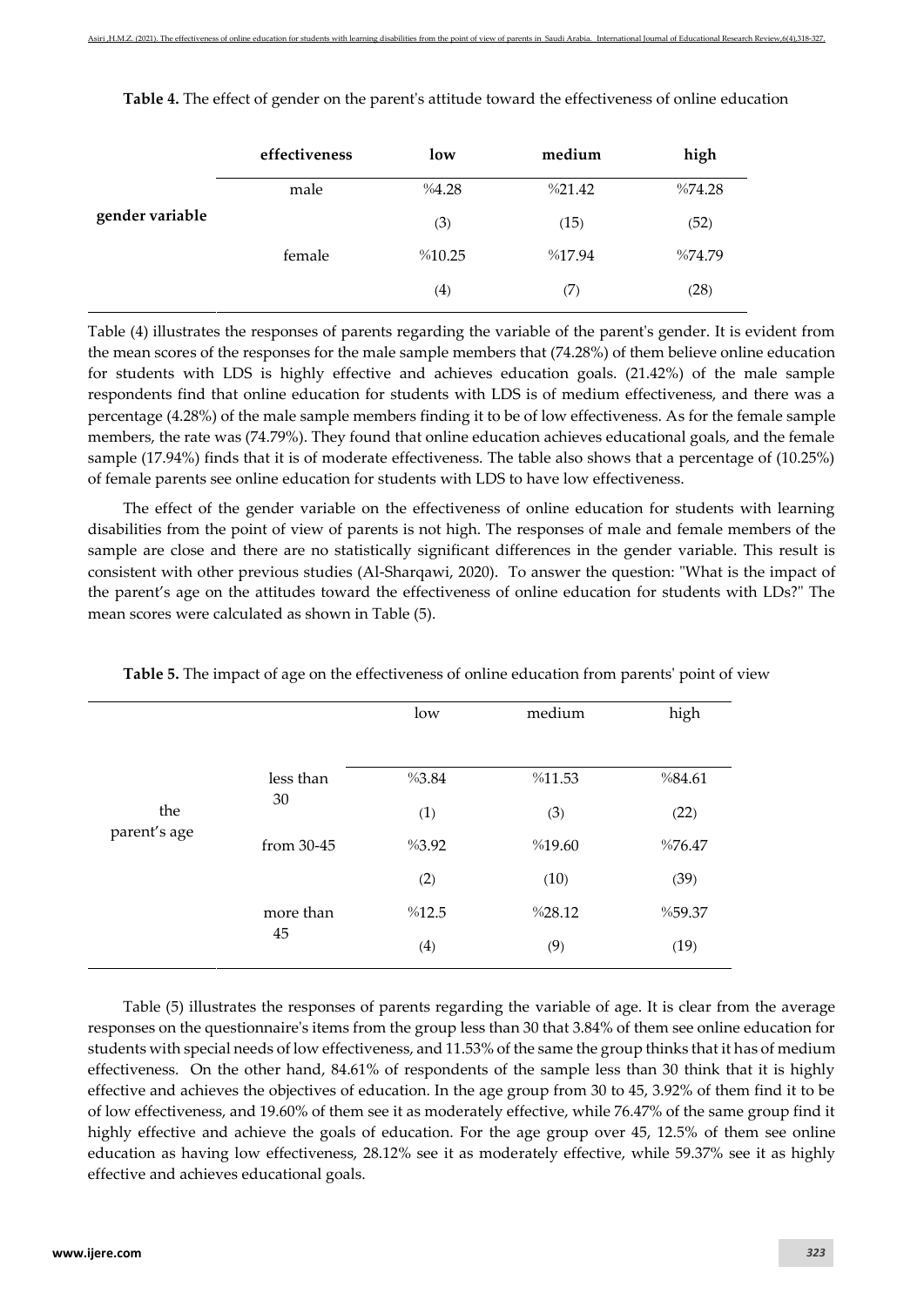|                 | effectiveness | low               | medium | high   |
|-----------------|---------------|-------------------|--------|--------|
|                 | male          | %4.28             | %21.42 | %74.28 |
| gender variable |               | (3)               | (15)   | (52)   |
|                 | female        | %10.25            | %17.94 | %74.79 |
|                 |               | $\left( 4\right)$ | (7)    | (28)   |

**Table 4.** The effect of gender on the parent's attitude toward the effectiveness of online education

Table (4) illustrates the responses of parents regarding the variable of the parent's gender. It is evident from the mean scores of the responses for the male sample members that (74.28%) of them believe online education for students with LDS is highly effective and achieves education goals. (21.42%) of the male sample respondents find that online education for students with LDS is of medium effectiveness, and there was a percentage (4.28%) of the male sample members finding it to be of low effectiveness. As for the female sample members, the rate was (74.79%). They found that online education achieves educational goals, and the female sample (17.94%) finds that it is of moderate effectiveness. The table also shows that a percentage of (10.25%) of female parents see online education for students with LDS to have low effectiveness.

The effect of the gender variable on the effectiveness of online education for students with learning disabilities from the point of view of parents is not high. The responses of male and female members of the sample are close and there are no statistically significant differences in the gender variable. This result is consistent with other previous studies (Al-Sharqawi, 2020). To answer the question: "What is the impact of the parent's age on the attitudes toward the effectiveness of online education for students with LDs?" The mean scores were calculated as shown in Table (5).

|                     |            | low   | medium | high   |
|---------------------|------------|-------|--------|--------|
|                     |            |       |        |        |
| the<br>parent's age | less than  | %3.84 | %11.53 | %84.61 |
|                     | 30         | (1)   | (3)    | (22)   |
|                     | from 30-45 | %3.92 | %19.60 | %76.47 |
|                     |            | (2)   | (10)   | (39)   |
|                     | more than  | %12.5 | %28.12 | %59.37 |
|                     | 45         | (4)   | (9)    | (19)   |

**Table 5.** The impact of age on the effectiveness of online education from parents' point of view

Table (5) illustrates the responses of parents regarding the variable of age. It is clear from the average responses on the questionnaire's items from the group less than 30 that 3.84% of them see online education for students with special needs of low effectiveness, and 11.53% of the same the group thinks that it has of medium effectiveness. On the other hand, 84.61% of respondents of the sample less than 30 think that it is highly effective and achieves the objectives of education. In the age group from 30 to 45, 3.92% of them find it to be of low effectiveness, and 19.60% of them see it as moderately effective, while 76.47% of the same group find it highly effective and achieve the goals of education. For the age group over 45, 12.5% of them see online education as having low effectiveness, 28.12% see it as moderately effective, while 59.37% see it as highly effective and achieves educational goals.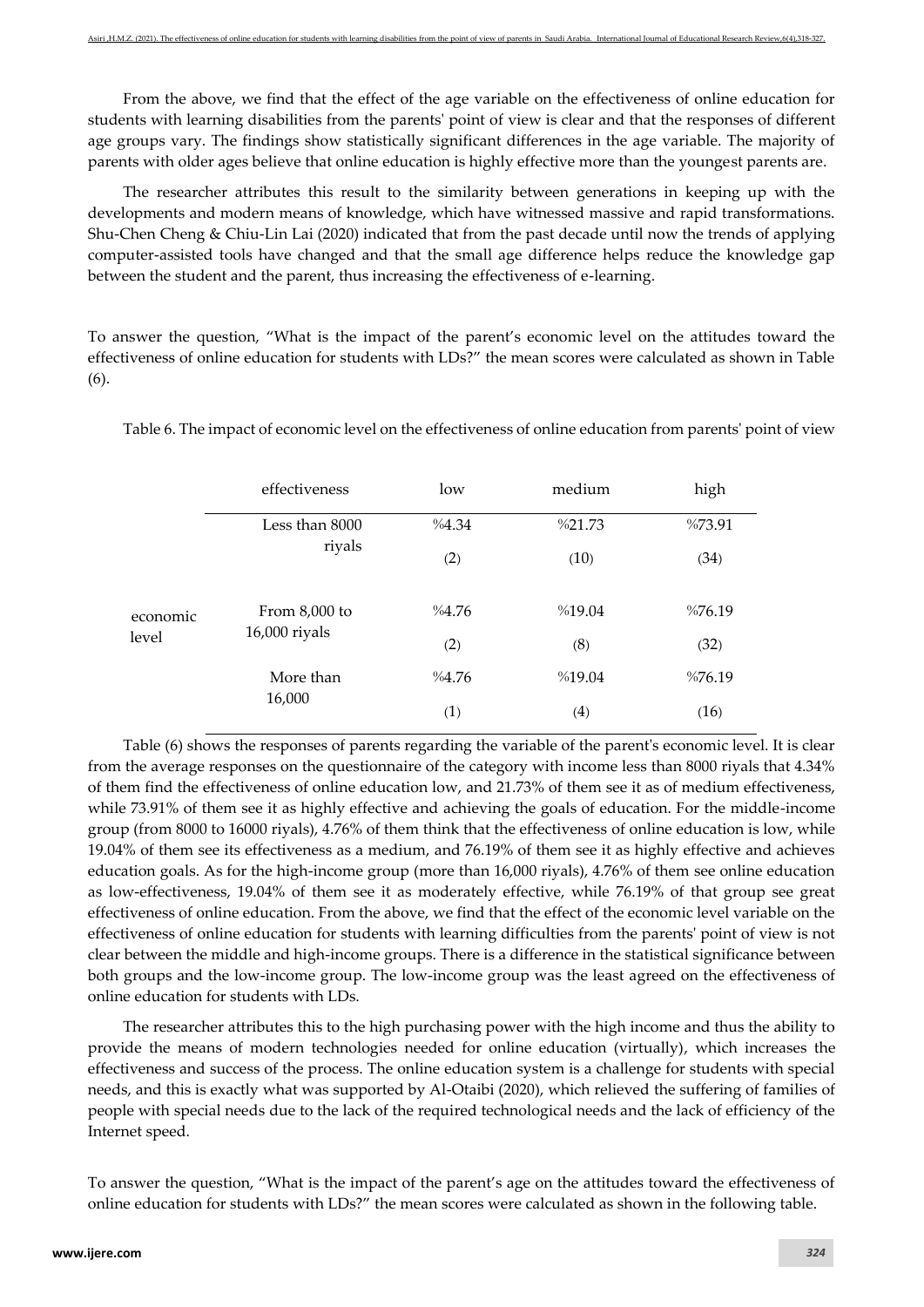From the above, we find that the effect of the age variable on the effectiveness of online education for students with learning disabilities from the parents' point of view is clear and that the responses of different age groups vary. The findings show statistically significant differences in the age variable. The majority of parents with older ages believe that online education is highly effective more than the youngest parents are.

The researcher attributes this result to the similarity between generations in keeping up with the developments and modern means of knowledge, which have witnessed massive and rapid transformations. Shu-Chen Cheng & Chiu-Lin Lai (2020) indicated that from the past decade until now the trends of applying computer-assisted tools have changed and that the small age difference helps reduce the knowledge gap between the student and the parent, thus increasing the effectiveness of e-learning.

To answer the question, "What is the impact of the parent's economic level on the attitudes toward the effectiveness of online education for students with LDs?" the mean scores were calculated as shown in Table (6).

|                   | effectiveness                    | low   | medium | high   |
|-------------------|----------------------------------|-------|--------|--------|
|                   | Less than 8000                   | %4.34 | %21.73 | %73.91 |
|                   | riyals                           | (2)   | (10)   | (34)   |
| economic<br>level | From 8,000 to<br>$16,000$ riyals | %4.76 | %19.04 | %76.19 |
|                   |                                  | (2)   | (8)    | (32)   |
|                   | More than                        | %4.76 | %19.04 | %76.19 |
|                   | 16,000                           | (1)   | (4)    | (16)   |

Table 6. The impact of economic level on the effectiveness of online education from parents' point of view

Table (6) shows the responses of parents regarding the variable of the parent's economic level. It is clear from the average responses on the questionnaire of the category with income less than 8000 riyals that 4.34% of them find the effectiveness of online education low, and 21.73% of them see it as of medium effectiveness, while 73.91% of them see it as highly effective and achieving the goals of education. For the middle-income group (from 8000 to 16000 riyals), 4.76% of them think that the effectiveness of online education is low, while 19.04% of them see its effectiveness as a medium, and 76.19% of them see it as highly effective and achieves education goals. As for the high-income group (more than 16,000 riyals), 4.76% of them see online education as low-effectiveness, 19.04% of them see it as moderately effective, while 76.19% of that group see great effectiveness of online education. From the above, we find that the effect of the economic level variable on the effectiveness of online education for students with learning difficulties from the parents' point of view is not clear between the middle and high-income groups. There is a difference in the statistical significance between both groups and the low-income group. The low-income group was the least agreed on the effectiveness of online education for students with LDs.

The researcher attributes this to the high purchasing power with the high income and thus the ability to provide the means of modern technologies needed for online education (virtually), which increases the effectiveness and success of the process. The online education system is a challenge for students with special needs, and this is exactly what was supported by Al-Otaibi (2020), which relieved the suffering of families of people with special needs due to the lack of the required technological needs and the lack of efficiency of the Internet speed.

To answer the question, "What is the impact of the parent's age on the attitudes toward the effectiveness of online education for students with LDs?" the mean scores were calculated as shown in the following table.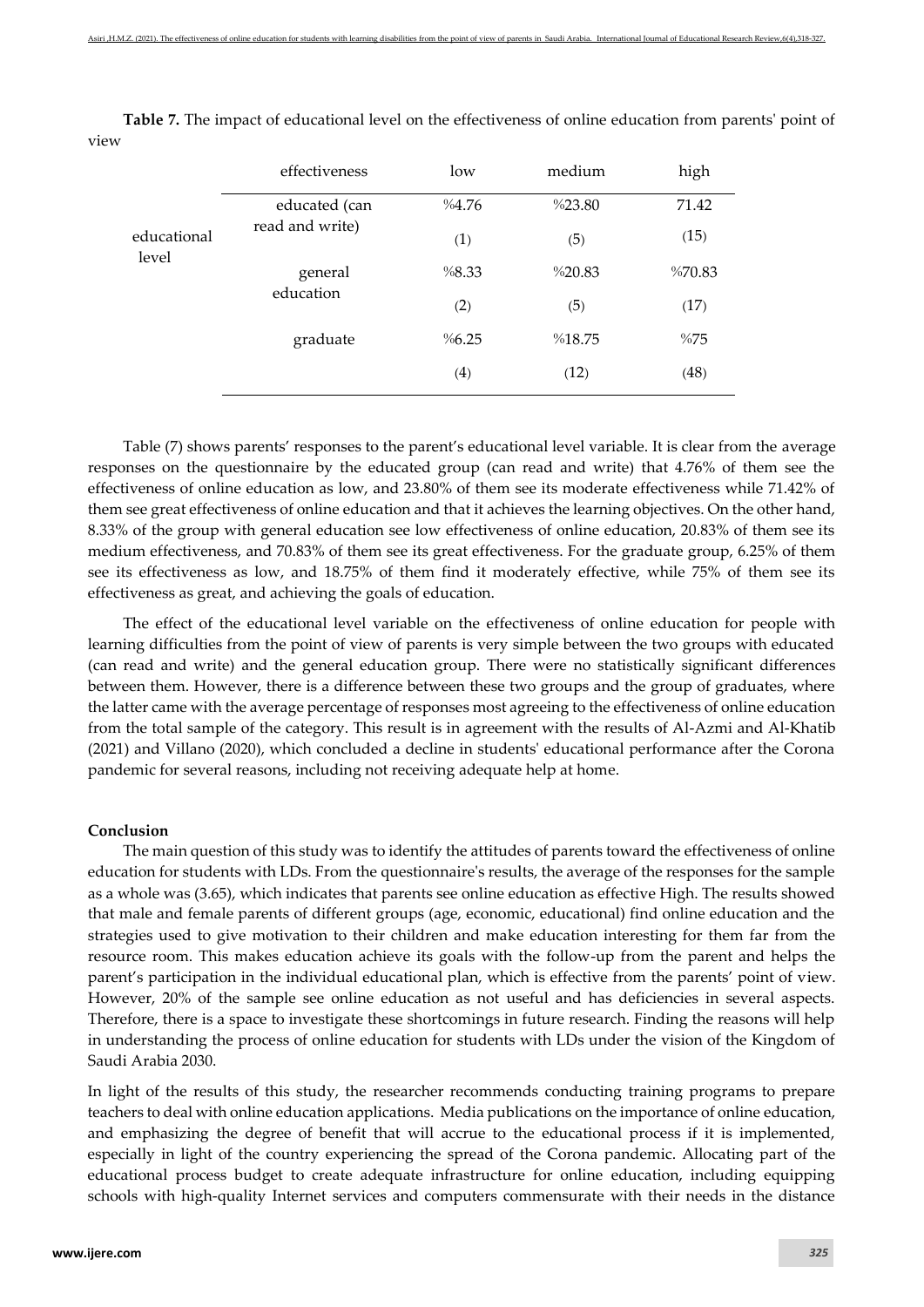|                      | effectiveness        | low   | medium | high   |
|----------------------|----------------------|-------|--------|--------|
| educational<br>level | educated (can        | %4.76 | %23.80 | 71.42  |
|                      | read and write)      | (1)   | (5)    | (15)   |
|                      | general<br>education | %8.33 | %20.83 | %70.83 |
|                      |                      | (2)   | (5)    | (17)   |
|                      | graduate             | %6.25 | %18.75 | %75    |
|                      |                      | (4)   | (12)   | (48)   |

**Table 7.** The impact of educational level on the effectiveness of online education from parents' point of view

Table (7) shows parents' responses to the parent's educational level variable. It is clear from the average responses on the questionnaire by the educated group (can read and write) that 4.76% of them see the effectiveness of online education as low, and 23.80% of them see its moderate effectiveness while 71.42% of them see great effectiveness of online education and that it achieves the learning objectives. On the other hand, 8.33% of the group with general education see low effectiveness of online education, 20.83% of them see its medium effectiveness, and 70.83% of them see its great effectiveness. For the graduate group, 6.25% of them see its effectiveness as low, and 18.75% of them find it moderately effective, while 75% of them see its effectiveness as great, and achieving the goals of education.

The effect of the educational level variable on the effectiveness of online education for people with learning difficulties from the point of view of parents is very simple between the two groups with educated (can read and write) and the general education group. There were no statistically significant differences between them. However, there is a difference between these two groups and the group of graduates, where the latter came with the average percentage of responses most agreeing to the effectiveness of online education from the total sample of the category. This result is in agreement with the results of Al-Azmi and Al-Khatib (2021) and Villano (2020), which concluded a decline in students' educational performance after the Corona pandemic for several reasons, including not receiving adequate help at home.

#### **Conclusion**

The main question of this study was to identify the attitudes of parents toward the effectiveness of online education for students with LDs. From the questionnaire's results, the average of the responses for the sample as a whole was (3.65), which indicates that parents see online education as effective High. The results showed that male and female parents of different groups (age, economic, educational) find online education and the strategies used to give motivation to their children and make education interesting for them far from the resource room. This makes education achieve its goals with the follow-up from the parent and helps the parent's participation in the individual educational plan, which is effective from the parents' point of view. However, 20% of the sample see online education as not useful and has deficiencies in several aspects. Therefore, there is a space to investigate these shortcomings in future research. Finding the reasons will help in understanding the process of online education for students with LDs under the vision of the Kingdom of Saudi Arabia 2030.

In light of the results of this study, the researcher recommends conducting training programs to prepare teachers to deal with online education applications. Media publications on the importance of online education, and emphasizing the degree of benefit that will accrue to the educational process if it is implemented, especially in light of the country experiencing the spread of the Corona pandemic. Allocating part of the educational process budget to create adequate infrastructure for online education, including equipping schools with high-quality Internet services and computers commensurate with their needs in the distance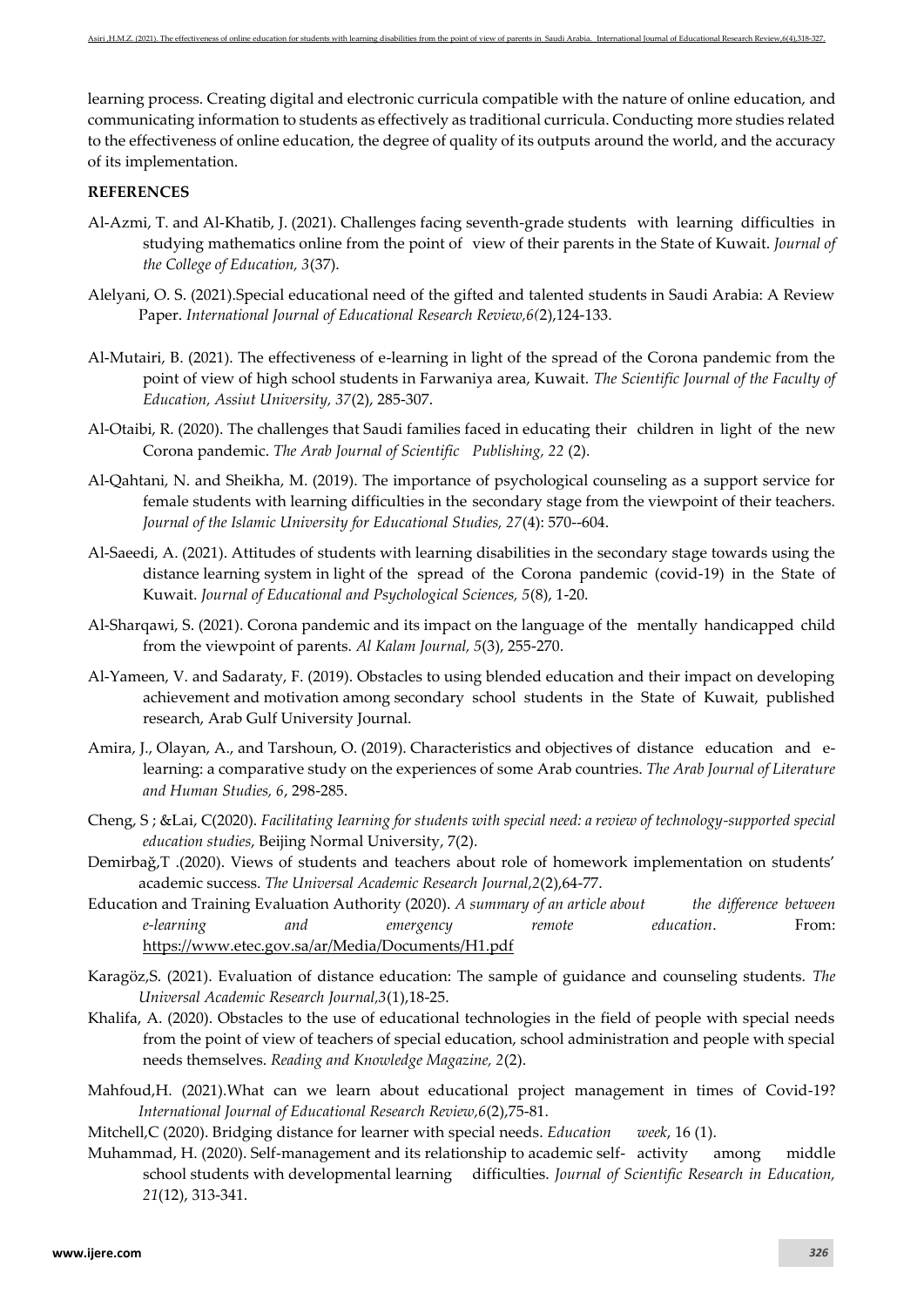learning process. Creating digital and electronic curricula compatible with the nature of online education, and communicating information to students as effectively as traditional curricula. Conducting more studies related to the effectiveness of online education, the degree of quality of its outputs around the world, and the accuracy of its implementation.

## **REFERENCES**

- Al-Azmi, T. and Al-Khatib, J. (2021). Challenges facing seventh-grade students with learning difficulties in studying mathematics online from the point of view of their parents in the State of Kuwait. *Journal of the College of Education, 3*(37).
- Alelyani, O. S. (2021).Special educational need of the gifted and talented students in Saudi Arabia: A Review Paper. *International Journal of Educational Research Review,6(*2),124-133.
- Al-Mutairi, B. (2021). The effectiveness of e-learning in light of the spread of the Corona pandemic from the point of view of high school students in Farwaniya area, Kuwait. *The Scientific Journal of the Faculty of Education, Assiut University, 37*(2), 285-307.
- Al-Otaibi, R. (2020). The challenges that Saudi families faced in educating their children in light of the new Corona pandemic. *The Arab Journal of Scientific Publishing, 22* (2).
- Al-Qahtani, N. and Sheikha, M. (2019). The importance of psychological counseling as a support service for female students with learning difficulties in the secondary stage from the viewpoint of their teachers. *Journal of the Islamic University for Educational Studies, 27*(4): 570--604.
- Al-Saeedi, A. (2021). Attitudes of students with learning disabilities in the secondary stage towards using the distance learning system in light of the spread of the Corona pandemic (covid-19) in the State of Kuwait. *Journal of Educational and Psychological Sciences, 5*(8), 1-20.
- Al-Sharqawi, S. (2021). Corona pandemic and its impact on the language of the mentally handicapped child from the viewpoint of parents. *Al Kalam Journal, 5*(3), 255-270.
- Al-Yameen, V. and Sadaraty, F. (2019). Obstacles to using blended education and their impact on developing achievement and motivation among secondary school students in the State of Kuwait, published research, Arab Gulf University Journal.
- Amira, J., Olayan, A., and Tarshoun, O. (2019). Characteristics and objectives of distance education and elearning: a comparative study on the experiences of some Arab countries. *The Arab Journal of Literature and Human Studies, 6*, 298-285.
- Cheng, S ; &Lai, C(2020). *Facilitating Iearning for students with special need: a review of technology-supported special education studies*, Beijing Normal University, 7(2).
- Demirbağ,T .(2020). Views of students and teachers about role of homework implementation on students' academic success. *The Universal Academic Research Journal,2*(2),64-77.
- Education and Training Evaluation Authority (2020). *A summary of an article about the difference between e-learning and emergency remote education*. From: <https://www.etec.gov.sa/ar/Media/Documents/H1.pdf>
- Karagöz,S. (2021). Evaluation of distance education: The sample of guidance and counseling students. *The Universal Academic Research Journal,3*(1),18-25.
- Khalifa, A. (2020). Obstacles to the use of educational technologies in the field of people with special needs from the point of view of teachers of special education, school administration and people with special needs themselves. *Reading and Knowledge Magazine, 2*(2).
- Mahfoud,H. (2021).What can we learn about educational project management in times of Covid-19? *International Journal of Educational Research Review,6*(2),75-81.

Mitchell,C (2020). Bridging distance for learner with special needs. *Education week*, 16 (1).

Muhammad, H. (2020). Self-management and its relationship to academic self- activity among middle school students with developmental learning difficulties. *Journal of Scientific Research in Education, 21*(12), 313-341.